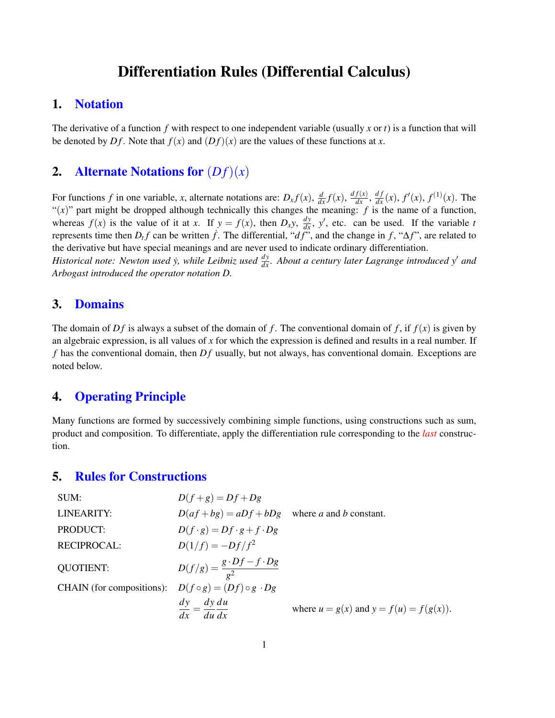# Differentiation Rules (Differential Calculus)

## 1. Notation

The derivative of a function *f* with respect to one independent variable (usually *x* or *t*) is a function that will be denoted by  $Df$ . Note that  $f(x)$  and  $(Df)(x)$  are the values of these functions at x.

# 2. Alternate Notations for  $(Df)(x)$

For functions f in one variable, x, alternate notations are:  $D_x f(x)$ ,  $\frac{d}{dx} f(x)$ ,  $\frac{df(x)}{dx}$ ,  $\frac{df(x)}{dx}$ ,  $f'(x)$ ,  $f^{(1)}(x)$ . The " $(x)$ " part might be dropped although technically this changes the meaning: *f* is the name of a function, whereas  $f(x)$  is the value of it at *x*. If  $y = f(x)$ , then  $D_x y$ ,  $\frac{dy}{dx}$ ,  $y'$ , etc. can be used. If the variable *t* represents time then  $D_t f$  can be written  $\dot{f}$ . The differential, " $d\ddot{f}$ ", and the change in  $f$ , " $\Delta f$ ", are related to the derivative but have special meanings and are never used to indicate ordinary differentiation. *Historical note: Newton used y, while Leibniz used*  $\frac{dy}{dx}$ *. About a century later Lagrange introduced y' and* 

*Arbogast introduced the operator notation D.*

## 3. Domains

The domain of  $Df$  is always a subset of the domain of f. The conventional domain of f, if  $f(x)$  is given by an algebraic expression, is all values of *x* for which the expression is defined and results in a real number. If  $f$  has the conventional domain, then  $Df$  usually, but not always, has conventional domain. Exceptions are noted below.

## 4. Operating Principle

Many functions are formed by successively combining simple functions, using constructions such as sum, product and composition. To differentiate, apply the differentiation rule corresponding to the *last* construction.

#### 5. Rules for Constructions

| SUM:                                                             | $D(f+g) = Df + Dg$                                                          |                                             |
|------------------------------------------------------------------|-----------------------------------------------------------------------------|---------------------------------------------|
| LINEARITY:                                                       | $D(af+bg) = aDf + bDg$ where a and b constant.                              |                                             |
| PRODUCT:                                                         | $D(f \cdot g) = Df \cdot g + f \cdot Dg$                                    |                                             |
| <b>RECIPROCAL:</b>                                               | $D(1/f) = -Df/f^2$                                                          |                                             |
| <b>QUOTIENT:</b>                                                 | $D(f/g) = \frac{g \cdot Df - f \cdot Dg}{\sigma^2}$                         |                                             |
| CHAIN (for compositions): $D(f \circ g) = (Df) \circ g \cdot Dg$ |                                                                             |                                             |
|                                                                  | $\frac{dy}{dx} = \frac{dy}{dx} du$<br>$-\overline{du}\,\overline{dx}$<br>dx | where $u = g(x)$ and $y = f(u) = f(g(x))$ . |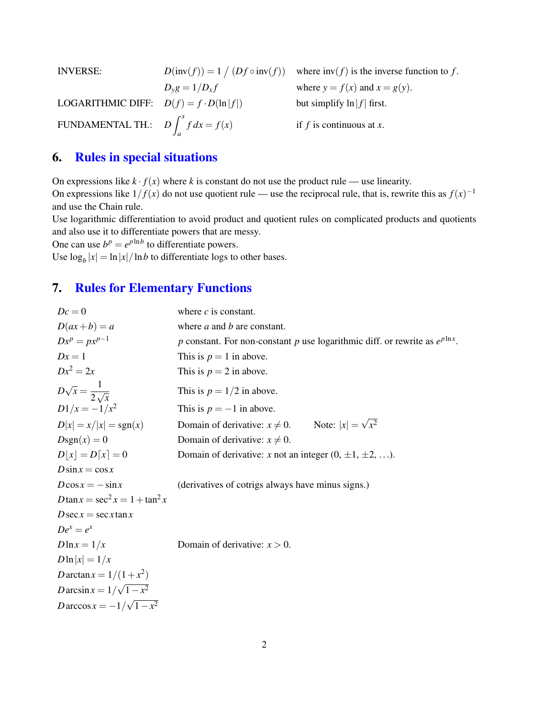| <b>INVERSE:</b>                               |                       | $D(\text{inv}(f)) = 1 / (Df \circ \text{inv}(f))$ where $\text{inv}(f)$ is the inverse function to f. |
|-----------------------------------------------|-----------------------|-------------------------------------------------------------------------------------------------------|
|                                               | $D_{\nu}g = 1/D_{x}f$ | where $y = f(x)$ and $x = g(y)$ .                                                                     |
| LOGARITHMIC DIFF: $D(f) = f \cdot D(\ln f )$  |                       | but simplify $\ln  f $ first.                                                                         |
| FUNDAMENTAL TH.: $D \int_{a}^{x} f dx = f(x)$ |                       | if f is continuous at x.                                                                              |

# 6. Rules in special situations

On expressions like  $k \cdot f(x)$  where k is constant do not use the product rule — use linearity. On expressions like  $1/f(x)$  do not use quotient rule — use the reciprocal rule, that is, rewrite this as  $f(x)^{-1}$ and use the Chain rule.

Use logarithmic differentiation to avoid product and quotient rules on complicated products and quotients and also use it to differentiate powers that are messy.

One can use  $b^p = e^{p \ln b}$  to differentiate powers.

Use  $\log_b |x| = \ln |x| / \ln b$  to differentiate logs to other bases.

# 7. Rules for Elementary Functions

| $Dc=0$                               | where $c$ is constant.                                                             |  |
|--------------------------------------|------------------------------------------------------------------------------------|--|
| $D(ax+b)=a$                          | where $a$ and $b$ are constant.                                                    |  |
| $Dx^p = px^{p-1}$                    | p constant. For non-constant p use logarithmic diff. or rewrite as $e^{p \ln x}$ . |  |
| $Dx=1$                               | This is $p = 1$ in above.                                                          |  |
| $Dx^2 = 2x$                          | This is $p = 2$ in above.                                                          |  |
| $D\sqrt{x} = \frac{1}{2\sqrt{x}}$    | This is $p = 1/2$ in above.                                                        |  |
| $D1/x = -1/x^2$                      | This is $p = -1$ in above.                                                         |  |
| $D x  = x/ x  = sgn(x)$              | Domain of derivative: $x \neq 0$ . Note: $ x  = \sqrt{x^2}$                        |  |
| $Dsgn(x) = 0$                        | Domain of derivative: $x \neq 0$ .                                                 |  |
| $D x  = D[x] = 0$                    | Domain of derivative: x not an integer $(0, \pm 1, \pm 2, \ldots)$ .               |  |
| $D\sin x = \cos x$                   |                                                                                    |  |
| $D\cos x = -\sin x$                  | (derivatives of cotrigs always have minus signs.)                                  |  |
| $D \tan x = \sec^2 x = 1 + \tan^2 x$ |                                                                                    |  |
| $D$ sec $x = \sec x \tan x$          |                                                                                    |  |
| $De^x = e^x$                         |                                                                                    |  |
| $D\ln x = 1/x$                       | Domain of derivative: $x > 0$ .                                                    |  |
| $D\ln x =1/x$                        |                                                                                    |  |
| <i>D</i> arctan $x = 1/(1 + x^2)$    |                                                                                    |  |
| Darcsin $x = 1/\sqrt{1-x^2}$         |                                                                                    |  |
| $D\arccos x = -1/\sqrt{1-x^2}$       |                                                                                    |  |